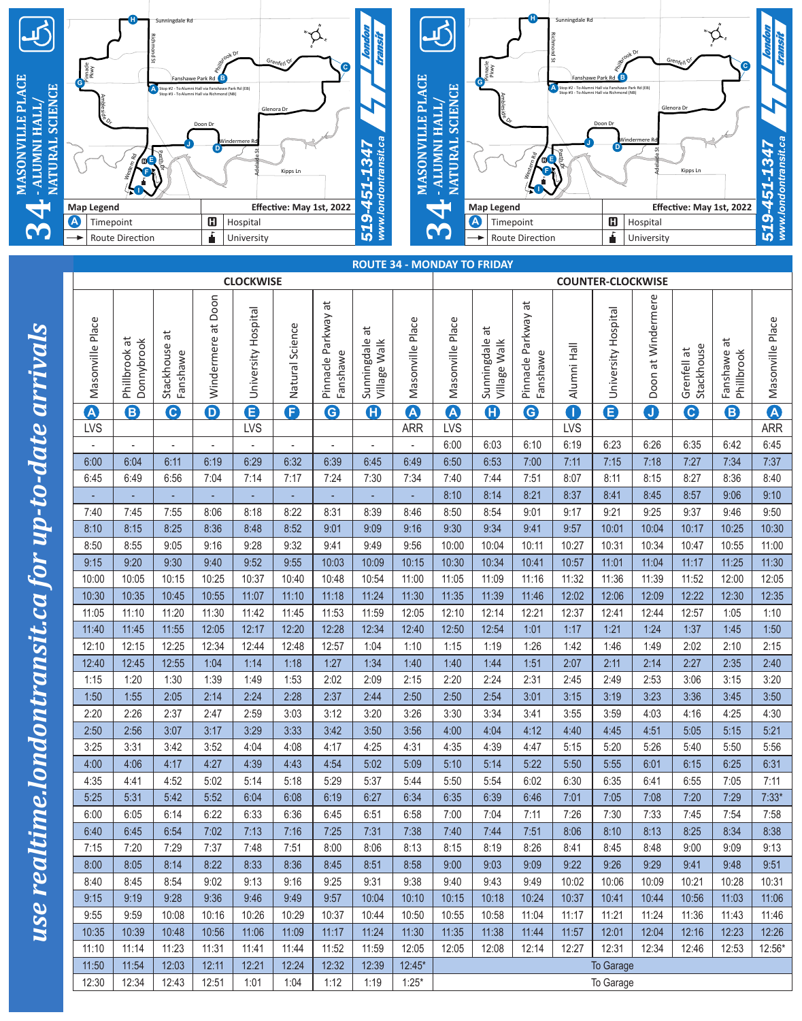

| <b>Map Legend</b>                |                                    |                             |                         | Effective: May 1st, 2022 |                          |                                                           |                                  | 4                     |                       | <b>Map Legend</b><br>$\overline{\phantom{0}}$ |                |                                 |                          |                              | Effective: May 1st, 2022 |                           |                             |                       |
|----------------------------------|------------------------------------|-----------------------------|-------------------------|--------------------------|--------------------------|-----------------------------------------------------------|----------------------------------|-----------------------|-----------------------|-----------------------------------------------|----------------|---------------------------------|--------------------------|------------------------------|--------------------------|---------------------------|-----------------------------|-----------------------|
| $\boldsymbol{\Phi}$<br>Timepoint |                                    |                             | $\mathbf G$             | Hospital                 |                          |                                                           | $www.$ Ion<br>519                |                       | A<br>3                |                                               |                | Timepoint                       |                          | $\mathbf G$                  | Hospital                 |                           | 519-4                       |                       |
| →                                | Á<br>Route Direction<br>University |                             |                         |                          |                          | Route Direction                                           |                                  |                       |                       | ŕ                                             | University     |                                 |                          |                              |                          |                           |                             |                       |
|                                  |                                    |                             |                         |                          |                          |                                                           |                                  |                       |                       | <b>ROUTE 34 - MONDAY TO FRIDAY</b>            |                |                                 |                          |                              |                          |                           |                             |                       |
|                                  |                                    |                             |                         | <b>CLOCKWISE</b>         |                          |                                                           |                                  |                       |                       |                                               |                |                                 | <b>COUNTER-CLOCKWISE</b> |                              |                          |                           |                             |                       |
|                                  |                                    |                             |                         |                          |                          |                                                           |                                  |                       |                       |                                               |                |                                 |                          |                              |                          |                           |                             |                       |
| Masonville Place                 | Phillbrook at<br>Donnybrook        | ä<br>Stackhouse<br>Fanshawe | Windermere at Doon      | University Hospital      | Natural Science          | $\overline{\mathfrak{a}}$<br>Pinnacle Parkway<br>Fanshawe | ä<br>Sunningdale<br>Village Walk | Masonville Place      | Masonville Place      | đ<br>Sunningdale                              | Village Walk   | Pinnacle Parkway at<br>Fanshawe | Alumni Hall              | University Hospital          | Doon at Windermere       | Stackhouse<br>Grenfell at | ä<br>Fanshawe<br>Phillbrook | Masonville Place      |
| $\boldsymbol{\Delta}$            | 8                                  | C                           | $\overline{\mathbf{O}}$ | Đ                        | ß                        | $\mathbf \Theta$                                          | $\bf G$                          | $\boldsymbol{\Omega}$ | $\boldsymbol{\Omega}$ |                                               | $\bf G$        | $\mathbf \Theta$                | 0                        | $\overline{\mathbf{\Theta}}$ | O                        | $\bullet$                 | 6                           | $\boldsymbol{\Omega}$ |
| <b>LVS</b>                       |                                    |                             |                         | <b>LVS</b>               |                          |                                                           |                                  | <b>ARR</b>            | <b>LVS</b>            |                                               |                |                                 | <b>LVS</b>               |                              |                          |                           |                             | <b>ARR</b>            |
|                                  |                                    | $\overline{\phantom{a}}$    | ٠                       |                          | $\overline{\phantom{a}}$ | $\overline{\phantom{a}}$                                  |                                  |                       | 6:00                  |                                               | 6:03           | 6:10                            | 6:19                     | 6:23                         | 6:26                     | 6:35                      | 6:42                        | 6:45                  |
| 6:00                             | 6:04                               | 6:11                        | 6:19                    | 6:29                     | 6:32                     | 6:39                                                      | 6:45                             | 6:49                  | 6:50                  |                                               | 6:53           | 7:00                            | 7:11                     | 7:15                         | 7:18                     | 7:27                      | 7:34                        | 7:37                  |
| 6:45                             | 6:49                               | 6:56                        | 7:04                    | 7:14                     | 7:17                     | 7:24                                                      | 7:30                             | 7:34                  | 7:40                  |                                               | 7:44           | 7:51                            | 8:07                     | 8:11                         | 8:15                     | 8:27                      | 8:36                        | 8:40                  |
|                                  |                                    |                             |                         | ٠                        | ٠                        |                                                           |                                  | ÷,                    | 8:10                  |                                               | 8:14           | 8:21                            | 8:37                     | 8:41                         | 8:45                     | 8:57                      | 9:06                        | 9:10                  |
| 7:40                             | 7:45                               | 7:55                        | 8:06                    | 8:18                     | 8:22                     | 8:31                                                      | 8:39                             | 8:46                  | 8:50                  |                                               | 8:54           | 9:01                            | 9:17                     | 9:21                         | 9:25                     | 9:37                      | 9:46                        | 9:50                  |
| 8:10                             | 8:15                               | 8:25                        | 8:36                    | 8:48                     | 8:52                     | 9:01                                                      | 9:09                             | 9:16                  | 9:30                  |                                               | 9:34           | 9:41                            | 9:57                     | 10:01                        | 10:04                    | 10:17                     | 10:25                       | 10:30                 |
| 8:50                             | 8:55                               | 9:05                        | 9:16                    | 9:28                     | 9:32                     | 9:41                                                      | 9:49                             | 9:56                  | 10:00                 |                                               | 10:04          | 10:11                           | 10:27                    | 10:31                        | 10:34                    | 10:47                     | 10:55                       | 11:00<br>11:30        |
| 9:15<br>10:00                    | 9:20<br>10:05                      | 9:30<br>10:15               | 9:40<br>10:25           | 9:52<br>10:37            | 9:55<br>10:40            | 10:03<br>10:48                                            | 10:09<br>10:54                   | 10:15<br>11:00        | 10:30<br>11:05        |                                               | 10:34<br>11:09 | 10:41<br>11:16                  | 10:57<br>11:32           | 11:01<br>11:36               | 11:04<br>11:39           | 11:17<br>11:52            | 11:25<br>12:00              | 12:05                 |
| 10:30                            | 10:35                              | 10:45                       | 10:55                   | 11:07                    | 11:10                    | 11:18                                                     | 11:24                            | 11:30                 | 11:35                 |                                               | 11:39          | 11:46                           | 12:02                    | 12:06                        | 12:09                    | 12:22                     | 12:30                       | 12:35                 |
| 11:05                            | 11:10                              | 11:20                       | 11:30                   | 11:42                    | 11:45                    | 11:53                                                     | 11:59                            | 12:05                 | 12:10                 |                                               | 12:14          | 12:21                           | 12:37                    | 12:41                        | 12:44                    | 12:57                     | 1:05                        | 1:10                  |
| 11:40                            | 11:45                              | 11:55                       | 12:05                   | 12:17                    | 12:20                    | 12:28                                                     | 12:34                            | 12:40                 | 12:50                 |                                               | 12:54          | 1:01                            | 1:17                     | 1:21                         | 1:24                     | 1:37                      | 1:45                        | 1:50                  |
| 12:10                            | 12:15                              | 12:25                       | 12:34                   | 12:44                    | 12:48                    | 12:57                                                     | 1:04                             | 1:10                  | 1:15                  |                                               | 1:19           | 1:26                            | 1:42                     | 1:46                         | 1:49                     | 2:02                      | 2:10                        | 2:15                  |
| 12:40                            | 12:45                              | 12:55                       | 1:04                    | 1:14                     | 1:18                     | 1:27                                                      | 1:34                             | 1:40                  | 1:40                  |                                               | 1:44           | 1:51                            | 2:07                     | 2:11                         | 2:14                     | 2:27                      | 2:35                        | 2:40                  |
| 1:15                             | 1:20                               | 1:30                        | 1:39                    | 1:49                     | 1:53                     | 2:02                                                      | 2:09                             | 2:15                  | 2:20                  |                                               | 2:24           | 2:31                            | 2:45                     | 2:49                         | 2:53                     | 3:06                      | 3:15                        | 3:20                  |
| 1:50                             | 1:55                               | 2:05                        | 2:14                    | 2:24                     | 2:28                     | 2:37                                                      | 2:44                             | 2:50                  | 2:50                  |                                               | 2:54           | 3:01                            | 3:15                     | 3:19                         | 3:23                     | 3:36                      | 3:45                        | 3:50                  |
| 2:20                             | 2:26                               | 2:37                        | 2:47                    | 2:59                     | 3:03                     | 3:12                                                      | 3:20                             | 3:26                  | 3:30                  |                                               | 3:34           | 3:41                            | 3:55                     | 3:59                         | 4:03                     | 4:16                      | 4:25                        | 4:30                  |
| 2:50                             | 2:56                               | 3:07                        | 3:17                    | 3:29                     | 3:33                     | 3:42                                                      | 3:50                             | 3:56                  | 4:00                  |                                               | 4:04           | 4:12                            | 4:40                     | 4:45                         | 4:51                     | 5:05                      | 5:15                        | 5:21                  |
| 3:25                             | 3:31                               | 3:42                        | 3:52                    | 4:04                     | 4:08                     | 4:17                                                      | 4:25                             | 4:31                  | 4:35                  |                                               | 4:39           | 4:47                            | 5:15                     | 5:20                         | 5:26                     | 5:40                      | 5:50                        | 5:56                  |
| 4:00                             | 4:06                               | 4:17                        | 4:27                    | 4:39                     | 4:43                     | 4:54                                                      | 5:02                             | 5:09                  | 5:10                  |                                               | 5:14           | 5:22                            | 5:50                     | 5:55                         | 6:01                     | 6:15                      | 6:25                        | 6:31                  |
| 4:35                             | 4:41                               | 4:52                        | 5:02                    | 5:14                     | 5:18                     | 5:29                                                      | 5:37                             | 5:44                  | 5:50                  |                                               | 5:54           | 6:02                            | 6:30                     | 6:35                         | 6:41                     | 6:55                      | 7:05                        | 7:11                  |
| 5:25                             | 5:31                               | 5:42                        | 5:52                    | 6:04                     | 6:08                     | 6:19                                                      | 6:27                             | 6:34                  | 6:35                  |                                               | 6:39           | 6:46                            | 7:01                     | 7:05                         | 7:08                     | 7:20                      | 7:29                        | $7:33*$               |
| 6:00                             | 6:05                               | 6:14                        | 6:22                    | 6:33                     | 6:36                     | 6:45                                                      | 6:51                             | 6:58                  | 7:00                  |                                               | 7:04           | 7:11                            | 7:26                     | 7:30                         | 7:33                     | 7:45                      | 7:54                        | 7:58                  |
| 6:40                             | 6:45                               | 6:54                        | 7:02                    | 7:13                     | 7:16                     | 7:25                                                      | 7:31                             | 7:38                  | 7:40                  |                                               | 7:44           | 7:51                            | 8:06                     | 8:10                         | 8:13                     | 8:25                      | 8:34                        | 8:38                  |
| 7:15                             | 7:20                               | 7:29                        | 7:37                    | 7:48                     | 7:51                     | 8:00                                                      | 8:06                             | 8:13                  | 8:15                  |                                               | 8:19           | 8:26                            | 8:41                     | 8:45                         | 8:48                     | 9:00                      | 9:09                        | 9:13                  |
| 8:00                             | 8:05                               | 8:14                        | 8:22                    | 8:33                     | 8:36                     | 8:45                                                      | 8:51                             | 8:58                  | 9:00                  |                                               | 9:03           | 9:09                            | 9:22                     | 9:26                         | 9:29                     | 9:41                      | 9:48                        | 9:51                  |
| 8:40<br>9:15                     | 8:45<br>9:19                       | 8:54<br>9:28                | 9:02<br>9:36            | 9:13<br>9:46             | 9:16<br>9:49             | 9:25<br>9:57                                              | 9:31<br>10:04                    | 9:38<br>10:10         | 9:40<br>10:15         |                                               | 9:43<br>10:18  | 9:49<br>10:24                   | 10:02<br>10:37           | 10:06<br>10:41               | 10:09<br>10:44           | 10:21<br>10:56            | 10:28<br>11:03              | 10:31<br>11:06        |
| 9:55                             | 9:59                               | 10:08                       | 10:16                   | 10:26                    | 10:29                    | 10:37                                                     | 10:44                            | 10:50                 | 10:55                 |                                               | 10:58          | 11:04                           | 11:17                    | 11:21                        | 11:24                    | 11:36                     | 11:43                       | 11:46                 |
| 10:35                            | 10:39                              | 10:48                       | 10:56                   | 11:06                    | 11:09                    | 11:17                                                     | 11:24                            | 11:30                 | 11:35                 |                                               | 11:38          | 11:44                           | 11:57                    | 12:01                        | 12:04                    | 12:16                     | 12:23                       | 12:26                 |
| 11:10                            | 11:14                              | 11:23                       | 11:31                   | 11:41                    | 11:44                    | 11:52                                                     | 11:59                            | 12:05                 | 12:05                 |                                               | 12:08          | 12:14                           | 12:27                    | 12:31                        | 12:34                    | 12:46                     | 12:53                       | 12:56*                |
| 11:50                            | 11:54                              | 12:03                       | 12:11                   | 12:21                    | 12:24                    | 12:32                                                     | 12:39                            | 12:45*                |                       |                                               |                |                                 |                          | <b>To Garage</b>             |                          |                           |                             |                       |
| 12:30                            | 12:34                              | 12:43                       | 12:51                   | 1:01                     | 1:04                     | 1:12                                                      | 1:19                             | $1:25*$               |                       |                                               |                |                                 |                          | To Garage                    |                          |                           |                             |                       |
|                                  |                                    |                             |                         |                          |                          |                                                           |                                  |                       |                       |                                               |                |                                 |                          |                              |                          |                           |                             |                       |